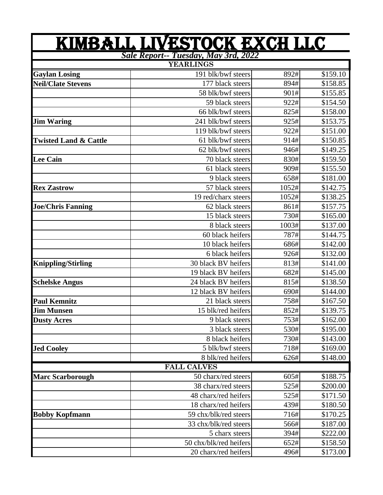| Sale Report-- Tuesday, May 3rd, 2022<br><b>YEARLINGS</b><br>191 blk/bwf steers<br>892#<br>\$159.10<br><b>Gaylan Losing</b><br>894#<br><b>Neil/Clate Stevens</b><br>177 black steers<br>\$158.85<br>58 blk/bwf steers<br>901#<br>\$155.85<br>59 black steers<br>922#<br>\$154.50<br>66 blk/bwf steers<br>825#<br>\$158.00<br>925#<br>241 blk/bwf steers<br><b>Jim Waring</b><br>\$153.75<br>119 blk/bwf steers<br>922#<br>\$151.00<br>61 blk/bwf steers<br>914#<br>\$150.85<br><b>Twisted Land &amp; Cattle</b><br>62 blk/bwf steers<br>946#<br>\$149.25<br>70 black steers<br>830#<br><b>Lee Cain</b><br>\$159.50<br>61 black steers<br>909#<br>\$155.50<br>9 black steers<br>658#<br>\$181.00<br>57 black steers<br>1052#<br>\$142.75<br><b>Rex Zastrow</b><br>19 red/charx steers<br>1052#<br>\$138.25<br>62 black steers<br>\$157.75<br><b>Joe/Chris Fanning</b><br>861#<br>15 black steers<br>730#<br>\$165.00<br>8 black steers<br>1003#<br>\$137.00<br>60 black heifers<br>787#<br>\$144.75<br>10 black heifers<br>686#<br>\$142.00<br>6 black heifers<br>926#<br>\$132.00<br><b>Knippling/Stirling</b><br>30 black BV heifers<br>813#<br>\$141.00<br>19 black BV heifers<br>682#<br>\$145.00<br>24 black BV heifers<br>815#<br>\$138.50<br><b>Schelske Angus</b><br>12 black BV heifers<br>690#<br>\$144.00<br>758#<br><b>Paul Kemnitz</b><br>21 black steers<br>\$167.50<br>15 blk/red heifers<br>852#<br><b>Jim Munsen</b><br>\$139.75<br><b>Dusty Acres</b><br>753#<br>9 black steers<br>\$162.00<br>3 black steers<br>530#<br>\$195.00<br>8 black heifers<br>730#<br>\$143.00<br>5 blk/bwf steers<br>718#<br><b>Jed Cooley</b><br>\$169.00<br>8 blk/red heifers<br>626#<br>\$148.00<br><b>FALL CALVES</b><br><b>Marc Scarborough</b><br>605#<br>\$188.75<br>50 charx/red steers<br>525#<br>38 charx/red steers<br>\$200.00<br>525#<br>48 charx/red heifers<br>\$171.50<br>18 charx/red heifers<br>439#<br>\$180.50<br>59 chx/blk/red steers<br>\$170.25<br><b>Bobby Kopfmann</b><br>716#<br>33 chx/blk/red steers<br>566#<br>\$187.00<br>5 charx steers<br>394#<br>\$222.00<br>50 chx/blk/red heifers<br>652#<br>\$158.50 | KIMBALL LIVESTOCK EXCH LLC |      |          |
|--------------------------------------------------------------------------------------------------------------------------------------------------------------------------------------------------------------------------------------------------------------------------------------------------------------------------------------------------------------------------------------------------------------------------------------------------------------------------------------------------------------------------------------------------------------------------------------------------------------------------------------------------------------------------------------------------------------------------------------------------------------------------------------------------------------------------------------------------------------------------------------------------------------------------------------------------------------------------------------------------------------------------------------------------------------------------------------------------------------------------------------------------------------------------------------------------------------------------------------------------------------------------------------------------------------------------------------------------------------------------------------------------------------------------------------------------------------------------------------------------------------------------------------------------------------------------------------------------------------------------------------------------------------------------------------------------------------------------------------------------------------------------------------------------------------------------------------------------------------------------------------------------------------------------------------------------------------------------------------------------------------------------------------------------------------------------------------------------------------------------------------|----------------------------|------|----------|
|                                                                                                                                                                                                                                                                                                                                                                                                                                                                                                                                                                                                                                                                                                                                                                                                                                                                                                                                                                                                                                                                                                                                                                                                                                                                                                                                                                                                                                                                                                                                                                                                                                                                                                                                                                                                                                                                                                                                                                                                                                                                                                                                      |                            |      |          |
|                                                                                                                                                                                                                                                                                                                                                                                                                                                                                                                                                                                                                                                                                                                                                                                                                                                                                                                                                                                                                                                                                                                                                                                                                                                                                                                                                                                                                                                                                                                                                                                                                                                                                                                                                                                                                                                                                                                                                                                                                                                                                                                                      |                            |      |          |
|                                                                                                                                                                                                                                                                                                                                                                                                                                                                                                                                                                                                                                                                                                                                                                                                                                                                                                                                                                                                                                                                                                                                                                                                                                                                                                                                                                                                                                                                                                                                                                                                                                                                                                                                                                                                                                                                                                                                                                                                                                                                                                                                      |                            |      |          |
|                                                                                                                                                                                                                                                                                                                                                                                                                                                                                                                                                                                                                                                                                                                                                                                                                                                                                                                                                                                                                                                                                                                                                                                                                                                                                                                                                                                                                                                                                                                                                                                                                                                                                                                                                                                                                                                                                                                                                                                                                                                                                                                                      |                            |      |          |
|                                                                                                                                                                                                                                                                                                                                                                                                                                                                                                                                                                                                                                                                                                                                                                                                                                                                                                                                                                                                                                                                                                                                                                                                                                                                                                                                                                                                                                                                                                                                                                                                                                                                                                                                                                                                                                                                                                                                                                                                                                                                                                                                      |                            |      |          |
|                                                                                                                                                                                                                                                                                                                                                                                                                                                                                                                                                                                                                                                                                                                                                                                                                                                                                                                                                                                                                                                                                                                                                                                                                                                                                                                                                                                                                                                                                                                                                                                                                                                                                                                                                                                                                                                                                                                                                                                                                                                                                                                                      |                            |      |          |
|                                                                                                                                                                                                                                                                                                                                                                                                                                                                                                                                                                                                                                                                                                                                                                                                                                                                                                                                                                                                                                                                                                                                                                                                                                                                                                                                                                                                                                                                                                                                                                                                                                                                                                                                                                                                                                                                                                                                                                                                                                                                                                                                      |                            |      |          |
|                                                                                                                                                                                                                                                                                                                                                                                                                                                                                                                                                                                                                                                                                                                                                                                                                                                                                                                                                                                                                                                                                                                                                                                                                                                                                                                                                                                                                                                                                                                                                                                                                                                                                                                                                                                                                                                                                                                                                                                                                                                                                                                                      |                            |      |          |
|                                                                                                                                                                                                                                                                                                                                                                                                                                                                                                                                                                                                                                                                                                                                                                                                                                                                                                                                                                                                                                                                                                                                                                                                                                                                                                                                                                                                                                                                                                                                                                                                                                                                                                                                                                                                                                                                                                                                                                                                                                                                                                                                      |                            |      |          |
|                                                                                                                                                                                                                                                                                                                                                                                                                                                                                                                                                                                                                                                                                                                                                                                                                                                                                                                                                                                                                                                                                                                                                                                                                                                                                                                                                                                                                                                                                                                                                                                                                                                                                                                                                                                                                                                                                                                                                                                                                                                                                                                                      |                            |      |          |
|                                                                                                                                                                                                                                                                                                                                                                                                                                                                                                                                                                                                                                                                                                                                                                                                                                                                                                                                                                                                                                                                                                                                                                                                                                                                                                                                                                                                                                                                                                                                                                                                                                                                                                                                                                                                                                                                                                                                                                                                                                                                                                                                      |                            |      |          |
|                                                                                                                                                                                                                                                                                                                                                                                                                                                                                                                                                                                                                                                                                                                                                                                                                                                                                                                                                                                                                                                                                                                                                                                                                                                                                                                                                                                                                                                                                                                                                                                                                                                                                                                                                                                                                                                                                                                                                                                                                                                                                                                                      |                            |      |          |
|                                                                                                                                                                                                                                                                                                                                                                                                                                                                                                                                                                                                                                                                                                                                                                                                                                                                                                                                                                                                                                                                                                                                                                                                                                                                                                                                                                                                                                                                                                                                                                                                                                                                                                                                                                                                                                                                                                                                                                                                                                                                                                                                      |                            |      |          |
|                                                                                                                                                                                                                                                                                                                                                                                                                                                                                                                                                                                                                                                                                                                                                                                                                                                                                                                                                                                                                                                                                                                                                                                                                                                                                                                                                                                                                                                                                                                                                                                                                                                                                                                                                                                                                                                                                                                                                                                                                                                                                                                                      |                            |      |          |
|                                                                                                                                                                                                                                                                                                                                                                                                                                                                                                                                                                                                                                                                                                                                                                                                                                                                                                                                                                                                                                                                                                                                                                                                                                                                                                                                                                                                                                                                                                                                                                                                                                                                                                                                                                                                                                                                                                                                                                                                                                                                                                                                      |                            |      |          |
|                                                                                                                                                                                                                                                                                                                                                                                                                                                                                                                                                                                                                                                                                                                                                                                                                                                                                                                                                                                                                                                                                                                                                                                                                                                                                                                                                                                                                                                                                                                                                                                                                                                                                                                                                                                                                                                                                                                                                                                                                                                                                                                                      |                            |      |          |
|                                                                                                                                                                                                                                                                                                                                                                                                                                                                                                                                                                                                                                                                                                                                                                                                                                                                                                                                                                                                                                                                                                                                                                                                                                                                                                                                                                                                                                                                                                                                                                                                                                                                                                                                                                                                                                                                                                                                                                                                                                                                                                                                      |                            |      |          |
|                                                                                                                                                                                                                                                                                                                                                                                                                                                                                                                                                                                                                                                                                                                                                                                                                                                                                                                                                                                                                                                                                                                                                                                                                                                                                                                                                                                                                                                                                                                                                                                                                                                                                                                                                                                                                                                                                                                                                                                                                                                                                                                                      |                            |      |          |
|                                                                                                                                                                                                                                                                                                                                                                                                                                                                                                                                                                                                                                                                                                                                                                                                                                                                                                                                                                                                                                                                                                                                                                                                                                                                                                                                                                                                                                                                                                                                                                                                                                                                                                                                                                                                                                                                                                                                                                                                                                                                                                                                      |                            |      |          |
|                                                                                                                                                                                                                                                                                                                                                                                                                                                                                                                                                                                                                                                                                                                                                                                                                                                                                                                                                                                                                                                                                                                                                                                                                                                                                                                                                                                                                                                                                                                                                                                                                                                                                                                                                                                                                                                                                                                                                                                                                                                                                                                                      |                            |      |          |
|                                                                                                                                                                                                                                                                                                                                                                                                                                                                                                                                                                                                                                                                                                                                                                                                                                                                                                                                                                                                                                                                                                                                                                                                                                                                                                                                                                                                                                                                                                                                                                                                                                                                                                                                                                                                                                                                                                                                                                                                                                                                                                                                      |                            |      |          |
|                                                                                                                                                                                                                                                                                                                                                                                                                                                                                                                                                                                                                                                                                                                                                                                                                                                                                                                                                                                                                                                                                                                                                                                                                                                                                                                                                                                                                                                                                                                                                                                                                                                                                                                                                                                                                                                                                                                                                                                                                                                                                                                                      |                            |      |          |
|                                                                                                                                                                                                                                                                                                                                                                                                                                                                                                                                                                                                                                                                                                                                                                                                                                                                                                                                                                                                                                                                                                                                                                                                                                                                                                                                                                                                                                                                                                                                                                                                                                                                                                                                                                                                                                                                                                                                                                                                                                                                                                                                      |                            |      |          |
|                                                                                                                                                                                                                                                                                                                                                                                                                                                                                                                                                                                                                                                                                                                                                                                                                                                                                                                                                                                                                                                                                                                                                                                                                                                                                                                                                                                                                                                                                                                                                                                                                                                                                                                                                                                                                                                                                                                                                                                                                                                                                                                                      |                            |      |          |
|                                                                                                                                                                                                                                                                                                                                                                                                                                                                                                                                                                                                                                                                                                                                                                                                                                                                                                                                                                                                                                                                                                                                                                                                                                                                                                                                                                                                                                                                                                                                                                                                                                                                                                                                                                                                                                                                                                                                                                                                                                                                                                                                      |                            |      |          |
|                                                                                                                                                                                                                                                                                                                                                                                                                                                                                                                                                                                                                                                                                                                                                                                                                                                                                                                                                                                                                                                                                                                                                                                                                                                                                                                                                                                                                                                                                                                                                                                                                                                                                                                                                                                                                                                                                                                                                                                                                                                                                                                                      |                            |      |          |
|                                                                                                                                                                                                                                                                                                                                                                                                                                                                                                                                                                                                                                                                                                                                                                                                                                                                                                                                                                                                                                                                                                                                                                                                                                                                                                                                                                                                                                                                                                                                                                                                                                                                                                                                                                                                                                                                                                                                                                                                                                                                                                                                      |                            |      |          |
|                                                                                                                                                                                                                                                                                                                                                                                                                                                                                                                                                                                                                                                                                                                                                                                                                                                                                                                                                                                                                                                                                                                                                                                                                                                                                                                                                                                                                                                                                                                                                                                                                                                                                                                                                                                                                                                                                                                                                                                                                                                                                                                                      |                            |      |          |
|                                                                                                                                                                                                                                                                                                                                                                                                                                                                                                                                                                                                                                                                                                                                                                                                                                                                                                                                                                                                                                                                                                                                                                                                                                                                                                                                                                                                                                                                                                                                                                                                                                                                                                                                                                                                                                                                                                                                                                                                                                                                                                                                      |                            |      |          |
|                                                                                                                                                                                                                                                                                                                                                                                                                                                                                                                                                                                                                                                                                                                                                                                                                                                                                                                                                                                                                                                                                                                                                                                                                                                                                                                                                                                                                                                                                                                                                                                                                                                                                                                                                                                                                                                                                                                                                                                                                                                                                                                                      |                            |      |          |
|                                                                                                                                                                                                                                                                                                                                                                                                                                                                                                                                                                                                                                                                                                                                                                                                                                                                                                                                                                                                                                                                                                                                                                                                                                                                                                                                                                                                                                                                                                                                                                                                                                                                                                                                                                                                                                                                                                                                                                                                                                                                                                                                      |                            |      |          |
|                                                                                                                                                                                                                                                                                                                                                                                                                                                                                                                                                                                                                                                                                                                                                                                                                                                                                                                                                                                                                                                                                                                                                                                                                                                                                                                                                                                                                                                                                                                                                                                                                                                                                                                                                                                                                                                                                                                                                                                                                                                                                                                                      |                            |      |          |
|                                                                                                                                                                                                                                                                                                                                                                                                                                                                                                                                                                                                                                                                                                                                                                                                                                                                                                                                                                                                                                                                                                                                                                                                                                                                                                                                                                                                                                                                                                                                                                                                                                                                                                                                                                                                                                                                                                                                                                                                                                                                                                                                      |                            |      |          |
|                                                                                                                                                                                                                                                                                                                                                                                                                                                                                                                                                                                                                                                                                                                                                                                                                                                                                                                                                                                                                                                                                                                                                                                                                                                                                                                                                                                                                                                                                                                                                                                                                                                                                                                                                                                                                                                                                                                                                                                                                                                                                                                                      |                            |      |          |
|                                                                                                                                                                                                                                                                                                                                                                                                                                                                                                                                                                                                                                                                                                                                                                                                                                                                                                                                                                                                                                                                                                                                                                                                                                                                                                                                                                                                                                                                                                                                                                                                                                                                                                                                                                                                                                                                                                                                                                                                                                                                                                                                      |                            |      |          |
|                                                                                                                                                                                                                                                                                                                                                                                                                                                                                                                                                                                                                                                                                                                                                                                                                                                                                                                                                                                                                                                                                                                                                                                                                                                                                                                                                                                                                                                                                                                                                                                                                                                                                                                                                                                                                                                                                                                                                                                                                                                                                                                                      |                            |      |          |
|                                                                                                                                                                                                                                                                                                                                                                                                                                                                                                                                                                                                                                                                                                                                                                                                                                                                                                                                                                                                                                                                                                                                                                                                                                                                                                                                                                                                                                                                                                                                                                                                                                                                                                                                                                                                                                                                                                                                                                                                                                                                                                                                      |                            |      |          |
|                                                                                                                                                                                                                                                                                                                                                                                                                                                                                                                                                                                                                                                                                                                                                                                                                                                                                                                                                                                                                                                                                                                                                                                                                                                                                                                                                                                                                                                                                                                                                                                                                                                                                                                                                                                                                                                                                                                                                                                                                                                                                                                                      |                            |      |          |
|                                                                                                                                                                                                                                                                                                                                                                                                                                                                                                                                                                                                                                                                                                                                                                                                                                                                                                                                                                                                                                                                                                                                                                                                                                                                                                                                                                                                                                                                                                                                                                                                                                                                                                                                                                                                                                                                                                                                                                                                                                                                                                                                      |                            |      |          |
|                                                                                                                                                                                                                                                                                                                                                                                                                                                                                                                                                                                                                                                                                                                                                                                                                                                                                                                                                                                                                                                                                                                                                                                                                                                                                                                                                                                                                                                                                                                                                                                                                                                                                                                                                                                                                                                                                                                                                                                                                                                                                                                                      |                            |      |          |
|                                                                                                                                                                                                                                                                                                                                                                                                                                                                                                                                                                                                                                                                                                                                                                                                                                                                                                                                                                                                                                                                                                                                                                                                                                                                                                                                                                                                                                                                                                                                                                                                                                                                                                                                                                                                                                                                                                                                                                                                                                                                                                                                      |                            |      |          |
|                                                                                                                                                                                                                                                                                                                                                                                                                                                                                                                                                                                                                                                                                                                                                                                                                                                                                                                                                                                                                                                                                                                                                                                                                                                                                                                                                                                                                                                                                                                                                                                                                                                                                                                                                                                                                                                                                                                                                                                                                                                                                                                                      |                            |      |          |
|                                                                                                                                                                                                                                                                                                                                                                                                                                                                                                                                                                                                                                                                                                                                                                                                                                                                                                                                                                                                                                                                                                                                                                                                                                                                                                                                                                                                                                                                                                                                                                                                                                                                                                                                                                                                                                                                                                                                                                                                                                                                                                                                      | 20 charx/red heifers       | 496# | \$173.00 |